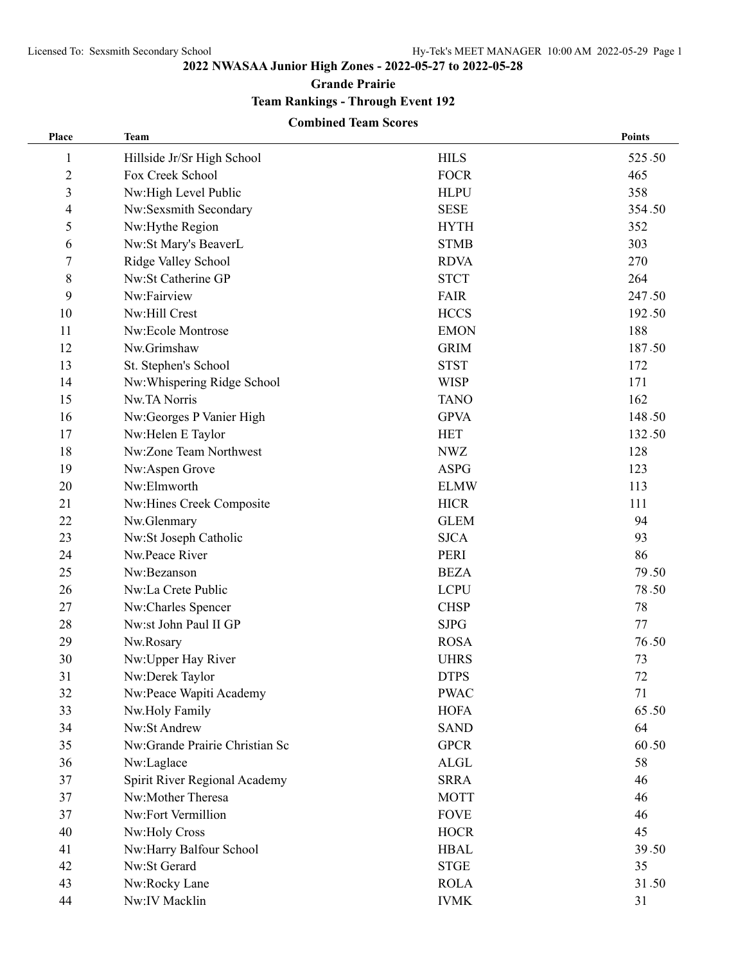**2022 NWASAA Junior High Zones - 2022-05-27 to 2022-05-28**

**Grande Prairie**

**Team Rankings - Through Event 192**

## **Combined Team Scores**

| Place                   | <b>Team</b>                    |             | <b>Points</b> |
|-------------------------|--------------------------------|-------------|---------------|
| 1                       | Hillside Jr/Sr High School     | <b>HILS</b> | 525.50        |
| $\overline{2}$          | Fox Creek School               | <b>FOCR</b> | 465           |
| $\overline{\mathbf{3}}$ | Nw:High Level Public           | <b>HLPU</b> | 358           |
| 4                       | Nw:Sexsmith Secondary          | <b>SESE</b> | 354.50        |
| 5                       | Nw:Hythe Region                | <b>HYTH</b> | 352           |
| 6                       | Nw:St Mary's BeaverL           | <b>STMB</b> | 303           |
| 7                       | Ridge Valley School            | <b>RDVA</b> | 270           |
| 8                       | Nw:St Catherine GP             | <b>STCT</b> | 264           |
| 9                       | Nw:Fairview                    | FAIR        | 247.50        |
| 10                      | Nw:Hill Crest                  | <b>HCCS</b> | 192.50        |
| 11                      | Nw:Ecole Montrose              | <b>EMON</b> | 188           |
| 12                      | Nw.Grimshaw                    | <b>GRIM</b> | 187.50        |
| 13                      | St. Stephen's School           | <b>STST</b> | 172           |
| 14                      | Nw:Whispering Ridge School     | <b>WISP</b> | 171           |
| 15                      | Nw.TA Norris                   | <b>TANO</b> | 162           |
| 16                      | Nw:Georges P Vanier High       | <b>GPVA</b> | 148.50        |
| 17                      | Nw:Helen E Taylor              | <b>HET</b>  | 132.50        |
| 18                      | Nw:Zone Team Northwest         | <b>NWZ</b>  | 128           |
| 19                      | Nw:Aspen Grove                 | <b>ASPG</b> | 123           |
| 20                      | Nw:Elmworth                    | <b>ELMW</b> | 113           |
| 21                      | Nw:Hines Creek Composite       | <b>HICR</b> | 111           |
| 22                      | Nw.Glenmary                    | <b>GLEM</b> | 94            |
| 23                      | Nw:St Joseph Catholic          | <b>SJCA</b> | 93            |
| 24                      | Nw.Peace River                 | PERI        | 86            |
| 25                      | Nw:Bezanson                    | <b>BEZA</b> | 79.50         |
| 26                      | Nw:La Crete Public             | <b>LCPU</b> | 78.50         |
| 27                      | Nw:Charles Spencer             | <b>CHSP</b> | 78            |
| 28                      | Nw:st John Paul II GP          | <b>SJPG</b> | 77            |
| 29                      | Nw.Rosary                      | <b>ROSA</b> | 76.50         |
| 30                      | Nw:Upper Hay River             | <b>UHRS</b> | 73            |
| 31                      | Nw:Derek Taylor                | <b>DTPS</b> | 72            |
| 32                      | Nw:Peace Wapiti Academy        | <b>PWAC</b> | 71            |
| 33                      | Nw.Holy Family                 | <b>HOFA</b> | 65.50         |
| 34                      | Nw:St Andrew                   | <b>SAND</b> | 64            |
| 35                      | Nw:Grande Prairie Christian Sc | <b>GPCR</b> | 60.50         |
| 36                      | Nw:Laglace                     | ALGL        | 58            |
| 37                      | Spirit River Regional Academy  | <b>SRRA</b> | 46            |
| 37                      | Nw:Mother Theresa              | <b>MOTT</b> | 46            |
| 37                      | Nw:Fort Vermillion             | <b>FOVE</b> | 46            |
| 40                      | Nw:Holy Cross                  | <b>HOCR</b> | 45            |
| 41                      | Nw:Harry Balfour School        | <b>HBAL</b> | 39.50         |
| 42                      | Nw:St Gerard                   | <b>STGE</b> | 35            |
| 43                      | Nw:Rocky Lane                  | <b>ROLA</b> | 31.50         |
| 44                      | Nw:IV Macklin                  | <b>IVMK</b> | 31            |